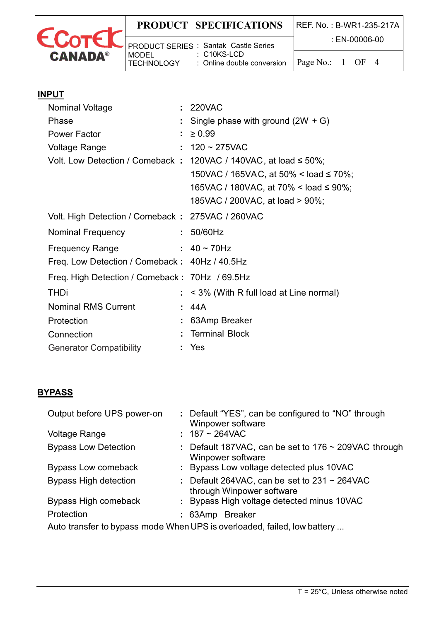

## **PRODUCT SPECIFICATIONS** REF. No. : B-WR1-235-217A

|                   | -   PRODUCT SERIES : Santak Castle Series                               | : EN-00006-00 |  |  |  |  |  |
|-------------------|-------------------------------------------------------------------------|---------------|--|--|--|--|--|
| MODEL             | : C10KS-LCD                                                             |               |  |  |  |  |  |
| <b>TECHNOLOGY</b> | : Online double conversion $  \text{Page No.:} \quad 1 \quad \text{OF}$ |               |  |  |  |  |  |

### **INPUT**

| Nominal Voltage                                  |    | : 220VAC                                                                |
|--------------------------------------------------|----|-------------------------------------------------------------------------|
| Phase                                            |    | Single phase with ground $(2W + G)$                                     |
| <b>Power Factor</b>                              |    | $\geq 0.99$                                                             |
| Voltage Range                                    | ÷. | $120 - 275$ VAC                                                         |
|                                                  |    | Volt. Low Detection / Comeback : 120VAC / 140VAC, at load $\leq 50\%$ ; |
|                                                  |    | 150VAC / 165VAC, at 50% < load $\leq 70\%$ ;                            |
|                                                  |    | 165VAC / 180VAC, at 70% < load $\leq 90\%$ ;                            |
|                                                  |    | 185VAC / 200VAC, at load > 90%;                                         |
| Volt. High Detection / Comeback: 275VAC / 260VAC |    |                                                                         |
| <b>Nominal Frequency</b>                         |    | $: 50/60$ Hz                                                            |
| <b>Frequency Range</b>                           |    | : $40 \sim 70$ Hz                                                       |
| Freq. Low Detection / Comeback: 40Hz / 40.5Hz    |    |                                                                         |
| Freq. High Detection / Comeback: 70Hz / 69.5Hz   |    |                                                                         |
| <b>THDi</b>                                      |    | $:$ < 3% (With R full load at Line normal)                              |
| <b>Nominal RMS Current</b>                       |    | 44A                                                                     |
| Protection                                       |    | 63Amp Breaker                                                           |
| Connection                                       |    | <b>Terminal Block</b>                                                   |
| <b>Generator Compatibility</b>                   |    | : Yes                                                                   |

### **BYPASS**

| Output before UPS power-on<br><b>Voltage Range</b>                       |  | : Default "YES", can be configured to "NO" through<br>Winpower software<br>$: 187 - 264$ VAC |  |  |  |  |
|--------------------------------------------------------------------------|--|----------------------------------------------------------------------------------------------|--|--|--|--|
| <b>Bypass Low Detection</b>                                              |  | : Default 187VAC, can be set to $176 \sim 209$ VAC through<br>Winpower software              |  |  |  |  |
| Bypass Low comeback                                                      |  | : Bypass Low voltage detected plus 10VAC                                                     |  |  |  |  |
| <b>Bypass High detection</b>                                             |  | : Default 264VAC, can be set to $231 \sim 264$ VAC<br>through Winpower software              |  |  |  |  |
| Bypass High comeback                                                     |  | : Bypass High voltage detected minus 10VAC                                                   |  |  |  |  |
| Protection                                                               |  | : 63Amp Breaker                                                                              |  |  |  |  |
| Auto transfer to bypass mode When UPS is overloaded, failed, low battery |  |                                                                                              |  |  |  |  |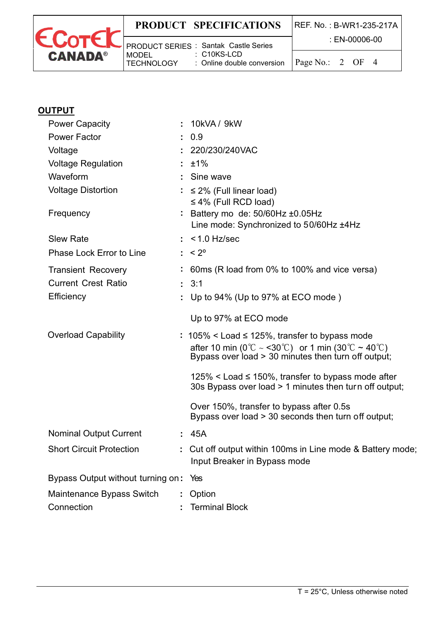

## **PRODUCT SPECIFICATIONS** REF. No. : B-WR1-235-217A

: EN-00006-00

|                            | •   PRODUCT SERIES : Santak Castle Series                        |  |  |  |
|----------------------------|------------------------------------------------------------------|--|--|--|
| MODEL<br><b>TECHNOLOGY</b> | : C10KS-LCD<br>: Online double conversion $\vert$ Page No.: 2 OF |  |  |  |

|                                   | 10kVA / 9kW                                                                                                                                                       |
|-----------------------------------|-------------------------------------------------------------------------------------------------------------------------------------------------------------------|
|                                   | : 0.9                                                                                                                                                             |
|                                   | 220/230/240VAC                                                                                                                                                    |
|                                   | $: 1\frac{4}{9}$                                                                                                                                                  |
|                                   | Sine wave                                                                                                                                                         |
|                                   | $\leq$ 2% (Full linear load)<br>$\leq$ 4% (Full RCD load)                                                                                                         |
|                                   | Battery mo de: 50/60Hz ±0.05Hz<br>Line mode: Synchronized to 50/60Hz ±4Hz                                                                                         |
|                                   | $:$ < 1.0 Hz/sec                                                                                                                                                  |
|                                   | $: < 2^{\circ}$                                                                                                                                                   |
|                                   | : 60ms (R load from 0% to 100% and vice versa)                                                                                                                    |
|                                   | : 3:1                                                                                                                                                             |
|                                   | Up to 94% (Up to 97% at ECO mode)                                                                                                                                 |
|                                   | Up to 97% at ECO mode                                                                                                                                             |
|                                   | : $105\%$ < Load $\leq$ 125%, transfer to bypass mode<br>after 10 min (0°C ~ <30°C) or 1 min (30°C ~ 40°C)<br>Bypass over load > 30 minutes then turn off output; |
|                                   | 125% < Load $\leq$ 150%, transfer to bypass mode after<br>30s Bypass over load > 1 minutes then turn off output;                                                  |
|                                   | Over 150%, transfer to bypass after 0.5s<br>Bypass over load > 30 seconds then turn off output;                                                                   |
|                                   | : 45A                                                                                                                                                             |
|                                   | Cut off output within 100ms in Line mode & Battery mode;<br>Input Breaker in Bypass mode                                                                          |
| Bypass Output without turning on: | Yes                                                                                                                                                               |
|                                   | Option                                                                                                                                                            |
|                                   | <b>Terminal Block</b>                                                                                                                                             |
|                                   |                                                                                                                                                                   |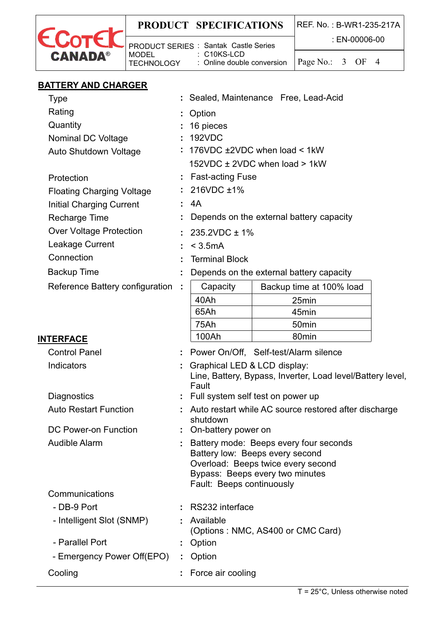

# **PRODUCT SPECIFICATIONS** REF. No. : B-WR1-235-217A

|                                  |                                                                   |                              |                                         |                                                                                                 | : EN-00006-00                                                                |  |        |   |  |
|----------------------------------|-------------------------------------------------------------------|------------------------------|-----------------------------------------|-------------------------------------------------------------------------------------------------|------------------------------------------------------------------------------|--|--------|---|--|
| <b>MODEL</b><br><b>CANADA®</b>   | <b>PRODUCT SERIES : Santak Castle Series</b><br><b>TECHNOLOGY</b> |                              | C10KS-LCD<br>: Online double conversion |                                                                                                 | Page No.:                                                                    |  | $3$ OF | 4 |  |
| <b>BATTERY AND CHARGER</b>       |                                                                   |                              |                                         |                                                                                                 |                                                                              |  |        |   |  |
| <b>Type</b>                      |                                                                   |                              |                                         |                                                                                                 | : Sealed, Maintenance Free, Lead-Acid                                        |  |        |   |  |
| Rating                           |                                                                   | Option                       |                                         |                                                                                                 |                                                                              |  |        |   |  |
| Quantity                         |                                                                   | 16 pieces                    |                                         |                                                                                                 |                                                                              |  |        |   |  |
| Nominal DC Voltage               | <b>192VDC</b>                                                     |                              |                                         |                                                                                                 |                                                                              |  |        |   |  |
| Auto Shutdown Voltage            |                                                                   | 176VDC ±2VDC when load < 1kW |                                         |                                                                                                 |                                                                              |  |        |   |  |
|                                  |                                                                   |                              |                                         | 152VDC ± 2VDC when load > 1kW                                                                   |                                                                              |  |        |   |  |
| Protection                       |                                                                   |                              | <b>Fast-acting Fuse</b>                 |                                                                                                 |                                                                              |  |        |   |  |
| <b>Floating Charging Voltage</b> |                                                                   |                              | 216VDC ±1%                              |                                                                                                 |                                                                              |  |        |   |  |
| <b>Initial Charging Current</b>  |                                                                   | 4A                           |                                         |                                                                                                 |                                                                              |  |        |   |  |
| <b>Recharge Time</b>             |                                                                   |                              |                                         |                                                                                                 | Depends on the external battery capacity                                     |  |        |   |  |
| <b>Over Voltage Protection</b>   |                                                                   |                              | 235.2VDC ± 1%                           |                                                                                                 |                                                                              |  |        |   |  |
| Leakage Current                  |                                                                   | < 3.5mA                      |                                         |                                                                                                 |                                                                              |  |        |   |  |
| Connection                       |                                                                   |                              | <b>Terminal Block</b>                   |                                                                                                 |                                                                              |  |        |   |  |
| <b>Backup Time</b>               |                                                                   |                              |                                         |                                                                                                 | Depends on the external battery capacity                                     |  |        |   |  |
| Reference Battery configuration  |                                                                   |                              | Capacity                                |                                                                                                 | Backup time at 100% load                                                     |  |        |   |  |
|                                  |                                                                   | 40Ah                         |                                         |                                                                                                 | 25min                                                                        |  |        |   |  |
|                                  |                                                                   | 65Ah                         |                                         |                                                                                                 | 45min                                                                        |  |        |   |  |
|                                  |                                                                   | 75Ah                         |                                         |                                                                                                 | 50 <sub>min</sub>                                                            |  |        |   |  |
| <b>INTERFACE</b>                 |                                                                   | 100Ah                        |                                         |                                                                                                 | 80 <sub>min</sub>                                                            |  |        |   |  |
| <b>Control Panel</b>             |                                                                   |                              |                                         |                                                                                                 | Power On/Off, Self-test/Alarm silence                                        |  |        |   |  |
| Indicators                       |                                                                   |                              |                                         | Graphical LED & LCD display:                                                                    |                                                                              |  |        |   |  |
|                                  |                                                                   | Fault                        |                                         |                                                                                                 | Line, Battery, Bypass, Inverter, Load level/Battery level,                   |  |        |   |  |
| Diagnostics                      |                                                                   |                              |                                         | Full system self test on power up                                                               |                                                                              |  |        |   |  |
| <b>Auto Restart Function</b>     |                                                                   |                              |                                         |                                                                                                 | Auto restart while AC source restored after discharge                        |  |        |   |  |
|                                  |                                                                   | shutdown                     |                                         |                                                                                                 |                                                                              |  |        |   |  |
| DC Power-on Function             |                                                                   |                              | On-battery power on                     |                                                                                                 |                                                                              |  |        |   |  |
| <b>Audible Alarm</b>             |                                                                   |                              |                                         | Battery low: Beeps every second<br>Bypass: Beeps every two minutes<br>Fault: Beeps continuously | Battery mode: Beeps every four seconds<br>Overload: Beeps twice every second |  |        |   |  |
| Communications                   |                                                                   |                              |                                         |                                                                                                 |                                                                              |  |        |   |  |
| - DB-9 Port                      |                                                                   |                              | RS232 interface                         |                                                                                                 |                                                                              |  |        |   |  |
| - Intelligent Slot (SNMP)        |                                                                   | Available                    |                                         |                                                                                                 | (Options: NMC, AS400 or CMC Card)                                            |  |        |   |  |
| - Parallel Port                  |                                                                   | Option                       |                                         |                                                                                                 |                                                                              |  |        |   |  |
| - Emergency Power Off(EPO)       |                                                                   | Option                       |                                         |                                                                                                 |                                                                              |  |        |   |  |

**Cooling :** Force air cooling